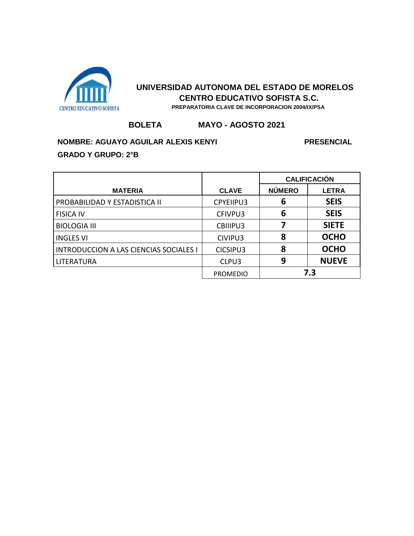

#### **BOLETA MAYO - AGOSTO 2021**

# **NOMBRE: AGUAYO AGUILAR ALEXIS KENYI PRESENCIAL PRESENCIAL GRADO Y GRUPO: 2°B**

|                                               |                 | <b>CALIFICACIÓN</b> |              |
|-----------------------------------------------|-----------------|---------------------|--------------|
| <b>MATERIA</b>                                | <b>CLAVE</b>    | <b>NÚMERO</b>       | <b>LETRA</b> |
| PROBABILIDAD Y ESTADISTICA II                 | CPYEIIPU3       | 6                   | <b>SEIS</b>  |
| <b>FISICA IV</b>                              | CFIVPU3         | 6                   | <b>SEIS</b>  |
| <b>BIOLOGIA III</b>                           | CBIIIPU3        |                     | <b>SIETE</b> |
| <b>INGLES VI</b>                              | CIVIPU3         | 8                   | <b>OCHO</b>  |
| <b>INTRODUCCION A LAS CIENCIAS SOCIALES I</b> | CICSIPU3        | 8                   | <b>OCHO</b>  |
| <b>LITERATURA</b>                             | CLPU3           | 9                   | <b>NUEVE</b> |
|                                               | <b>PROMEDIO</b> |                     | 7.3          |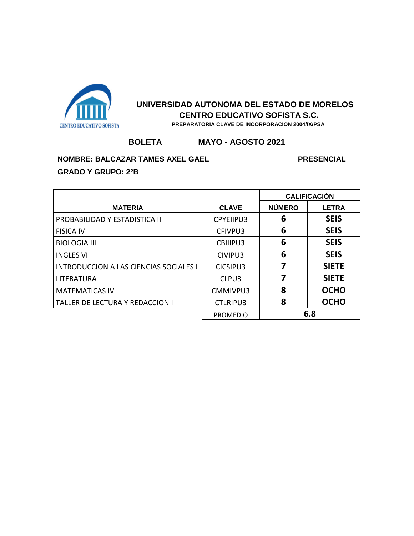

#### **BOLETA MAYO - AGOSTO 2021**

**NOMBRE: BALCAZAR TAMES AXEL GAEL PRESENCIAL PRESENCIAL** 

|                                               |                 | <b>CALIFICACIÓN</b> |              |
|-----------------------------------------------|-----------------|---------------------|--------------|
| <b>MATERIA</b>                                | <b>CLAVE</b>    | <b>NÚMERO</b>       | <b>LETRA</b> |
| PROBABILIDAD Y ESTADISTICA II                 | CPYEIIPU3       | 6                   | <b>SEIS</b>  |
| <b>FISICA IV</b>                              | CFIVPU3         | 6                   | <b>SEIS</b>  |
| <b>BIOLOGIA III</b>                           | CBIIIPU3        | 6                   | <b>SEIS</b>  |
| <b>INGLES VI</b>                              | CIVIPU3         | 6                   | <b>SEIS</b>  |
| <b>INTRODUCCION A LAS CIENCIAS SOCIALES I</b> | CICSIPU3        |                     | <b>SIETE</b> |
| <b>LITERATURA</b>                             | CLPU3           | 7                   | <b>SIETE</b> |
| <b>MATEMATICAS IV</b>                         | CMMIVPU3        | 8                   | <b>OCHO</b>  |
| TALLER DE LECTURA Y REDACCION I               | <b>CTLRIPU3</b> | 8                   | <b>OCHO</b>  |
|                                               | <b>PROMEDIO</b> | 6.8                 |              |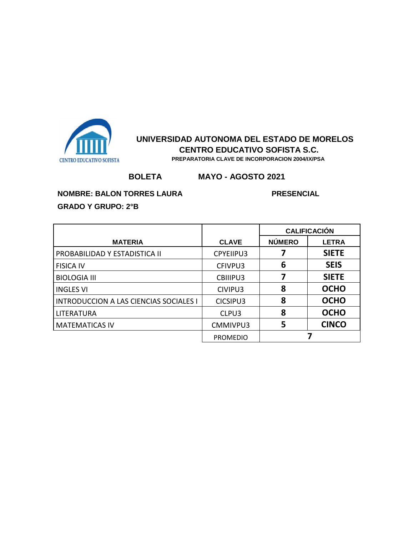

 **PREPARATORIA CLAVE DE INCORPORACION 2004/IX/PSA**

# **BOLETA MAYO - AGOSTO 2021**

### **NOMBRE: BALON TORRES LAURA PRESENCIAL**

|                                               |                  | <b>CALIFICACIÓN</b> |              |
|-----------------------------------------------|------------------|---------------------|--------------|
| <b>MATERIA</b>                                | <b>CLAVE</b>     | <b>NÚMERO</b>       | <b>LETRA</b> |
| PROBABILIDAD Y ESTADISTICA II                 | <b>CPYEIIPU3</b> |                     | <b>SIETE</b> |
| <b>FISICA IV</b>                              | CFIVPU3          | 6                   | <b>SEIS</b>  |
| <b>BIOLOGIA III</b>                           | CBIIIPU3         | 7                   | <b>SIETE</b> |
| <b>INGLES VI</b>                              | CIVIPU3          | 8                   | <b>OCHO</b>  |
| <b>INTRODUCCION A LAS CIENCIAS SOCIALES I</b> | CICSIPU3         | 8                   | <b>OCHO</b>  |
| LITERATURA                                    | CLPU3            | 8                   | <b>OCHO</b>  |
| <b>MATEMATICAS IV</b>                         | CMMIVPU3         | 5                   | <b>CINCO</b> |
|                                               | <b>PROMEDIO</b>  |                     |              |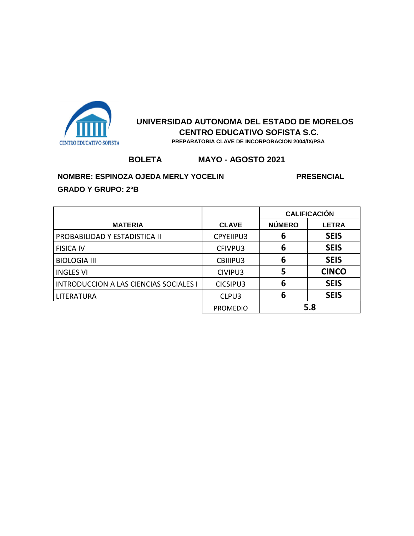

#### **BOLETA MAYO - AGOSTO 2021**

#### **NOMBRE: ESPINOZA OJEDA MERLY YOCELIN PRESENCIAL**

|                                               |                 | <b>CALIFICACIÓN</b> |              |
|-----------------------------------------------|-----------------|---------------------|--------------|
| <b>MATERIA</b>                                | <b>CLAVE</b>    | <b>NÚMERO</b>       | <b>LETRA</b> |
| PROBABILIDAD Y ESTADISTICA II                 | CPYEIIPU3       | 6                   | <b>SEIS</b>  |
| <b>FISICA IV</b>                              | CFIVPU3         | 6                   | <b>SEIS</b>  |
| <b>BIOLOGIA III</b>                           | CBIIIPU3        | 6                   | <b>SEIS</b>  |
| <b>INGLES VI</b>                              | CIVIPU3         | 5                   | <b>CINCO</b> |
| <b>INTRODUCCION A LAS CIENCIAS SOCIALES I</b> | CICSIPU3        | 6                   | <b>SEIS</b>  |
| <b>LITERATURA</b>                             | CLPU3           | 6                   | <b>SEIS</b>  |
|                                               | <b>PROMEDIO</b> | 5.8                 |              |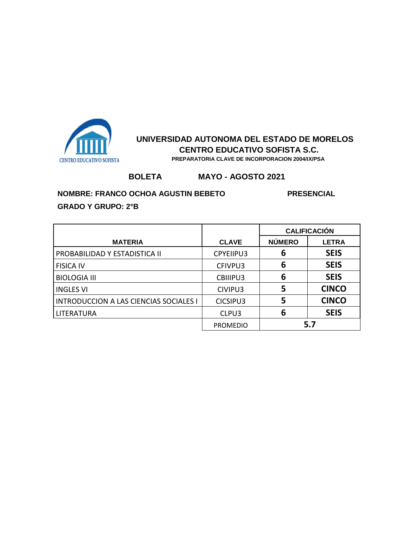

 **PREPARATORIA CLAVE DE INCORPORACION 2004/IX/PSA**

# **BOLETA MAYO - AGOSTO 2021**

#### **NOMBRE: FRANCO OCHOA AGUSTIN BEBETO PRESENCIAL**

|                                               |                  | <b>CALIFICACIÓN</b> |              |
|-----------------------------------------------|------------------|---------------------|--------------|
| <b>MATERIA</b>                                | <b>CLAVE</b>     | <b>NÚMERO</b>       | <b>LETRA</b> |
| PROBABILIDAD Y ESTADISTICA II                 | <b>CPYEIIPU3</b> | 6                   | <b>SEIS</b>  |
| <b>FISICA IV</b>                              | CFIVPU3          | 6                   | <b>SEIS</b>  |
| <b>BIOLOGIA III</b>                           | CBIIIPU3         | 6                   | <b>SEIS</b>  |
| <b>INGLES VI</b>                              | CIVIPU3          | 5                   | <b>CINCO</b> |
| <b>INTRODUCCION A LAS CIENCIAS SOCIALES I</b> | CICSIPU3         | 5                   | <b>CINCO</b> |
| LITERATURA                                    | CLPU3            | 6                   | <b>SEIS</b>  |
|                                               | <b>PROMEDIO</b>  |                     | 5.7          |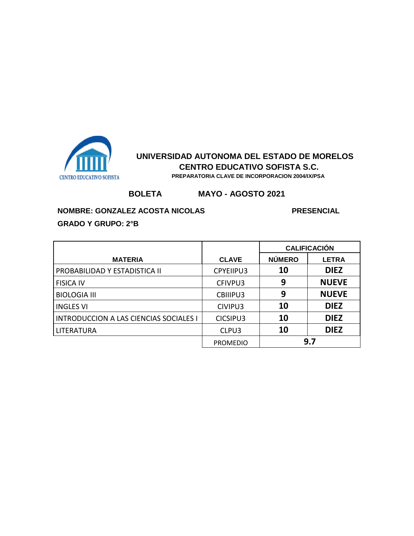

## **BOLETA MAYO - AGOSTO 2021**

**NOMBRE: GONZALEZ ACOSTA NICOLAS PRESENCIAL** 

|                                               |                 | <b>CALIFICACIÓN</b> |              |
|-----------------------------------------------|-----------------|---------------------|--------------|
| <b>MATERIA</b>                                | <b>CLAVE</b>    | <b>NÚMERO</b>       | <b>LETRA</b> |
| PROBABILIDAD Y ESTADISTICA II                 | CPYEIIPU3       | 10                  | <b>DIEZ</b>  |
| <b>FISICA IV</b>                              | CFIVPU3         | 9                   | <b>NUEVE</b> |
| <b>BIOLOGIA III</b>                           | CBIIIPU3        | 9                   | <b>NUEVE</b> |
| <b>INGLES VI</b>                              | CIVIPU3         | 10                  | <b>DIEZ</b>  |
| <b>INTRODUCCION A LAS CIENCIAS SOCIALES I</b> | CICSIPU3        | 10                  | <b>DIEZ</b>  |
| <b>LITERATURA</b>                             | CLPU3           | 10                  | <b>DIEZ</b>  |
|                                               | <b>PROMEDIO</b> |                     | 9.7          |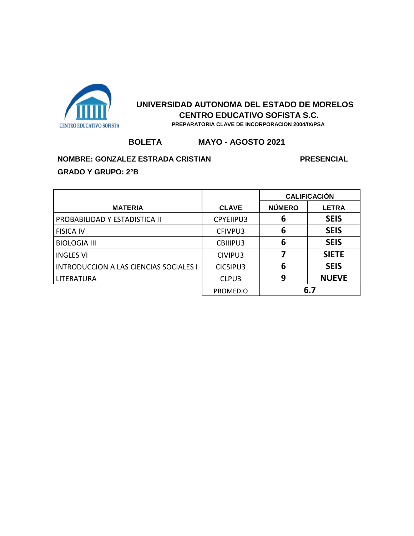

## **BOLETA MAYO - AGOSTO 2021**

### **NOMBRE: GONZALEZ ESTRADA CRISTIAN PRESENCIAL**

|                                               |                 | <b>CALIFICACIÓN</b> |              |
|-----------------------------------------------|-----------------|---------------------|--------------|
| <b>MATERIA</b>                                | <b>CLAVE</b>    | <b>NÚMERO</b>       | <b>LETRA</b> |
| PROBABILIDAD Y ESTADISTICA II                 | CPYEIIPU3       | 6                   | <b>SEIS</b>  |
| <b>FISICA IV</b>                              | CFIVPU3         | 6                   | <b>SEIS</b>  |
| <b>BIOLOGIA III</b>                           | CBIIIPU3        | 6                   | <b>SEIS</b>  |
| <b>INGLES VI</b>                              | CIVIPU3         |                     | <b>SIETE</b> |
| <b>INTRODUCCION A LAS CIENCIAS SOCIALES I</b> | CICSIPU3        | 6                   | <b>SEIS</b>  |
| LITERATURA                                    | CLPU3           | 9                   | <b>NUEVE</b> |
|                                               | <b>PROMEDIO</b> | 6.7                 |              |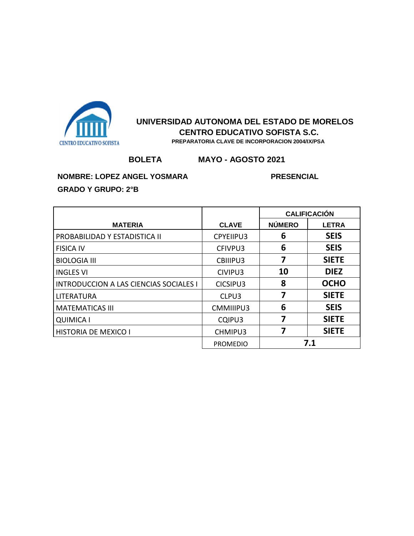

# **BOLETA MAYO - AGOSTO 2021**

**NOMBRE: LOPEZ ANGEL YOSMARA PRESENCIAL** 

|                                               |                  | <b>CALIFICACIÓN</b> |              |
|-----------------------------------------------|------------------|---------------------|--------------|
| <b>MATERIA</b>                                | <b>CLAVE</b>     | <b>NÚMERO</b>       | <b>LETRA</b> |
| PROBABILIDAD Y ESTADISTICA II                 | <b>CPYEIIPU3</b> | 6                   | <b>SEIS</b>  |
| <b>FISICA IV</b>                              | CFIVPU3          | 6                   | <b>SEIS</b>  |
| <b>BIOLOGIA III</b>                           | CBIIIPU3         | 7                   | <b>SIETE</b> |
| <b>INGLES VI</b>                              | CIVIPU3          | 10                  | <b>DIEZ</b>  |
| <b>INTRODUCCION A LAS CIENCIAS SOCIALES I</b> | CICSIPU3         | 8                   | <b>OCHO</b>  |
| LITERATURA                                    | CLPU3            | 7                   | <b>SIETE</b> |
| <b>MATEMATICAS III</b>                        | CMMIIIPU3        | 6                   | <b>SEIS</b>  |
| <b>QUIMICA I</b>                              | CQIPU3           | 7                   | <b>SIETE</b> |
| <b>HISTORIA DE MEXICO I</b>                   | CHMIPU3          |                     | <b>SIETE</b> |
|                                               | <b>PROMEDIO</b>  |                     | 7.1          |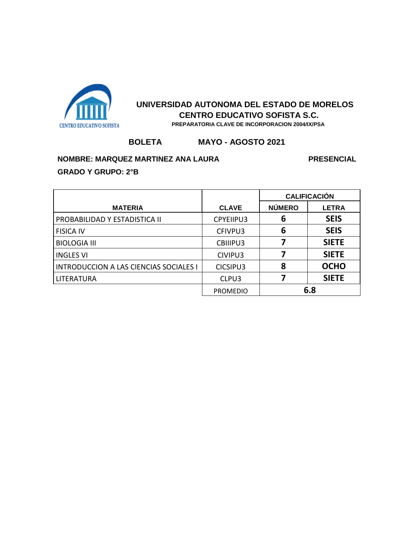

# **BOLETA MAYO - AGOSTO 2021**

#### **NOMBRE: MARQUEZ MARTINEZ ANA LAURA PRESENCIAL**

**GRADO Y GRUPO: 2°B**

**MATERIA CLAVE CALIFICACIÓN NÚMERO LETRA** PROBABILIDAD Y ESTADISTICA II CPYEIIPU3 **6 SEIS** FISICA IV CFIVPU3 **6 SEIS** BIOLOGIA III CBIIIPU3 **7 SIETE** INGLES VI CIVIPU3 **7 SIETE** INTRODUCCION A LAS CIENCIAS SOCIALES I CICSIPU3 **8 OCHO** LITERATURA CLPU3 **7 SIETE** PROMEDIO **6.8**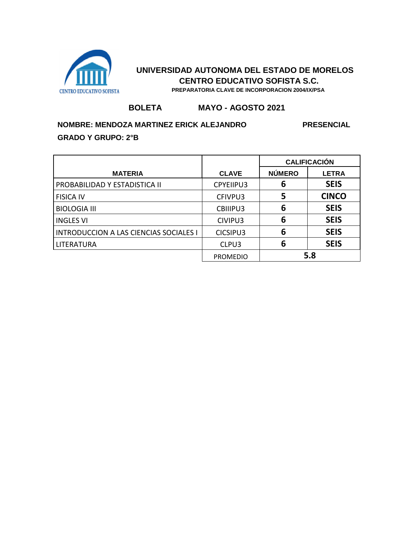

 **PREPARATORIA CLAVE DE INCORPORACION 2004/IX/PSA**

#### **BOLETA MAYO - AGOSTO 2021**

#### **NOMBRE: MENDOZA MARTINEZ ERICK ALEJANDRO PRESENCIAL**

|                                               |                 | <b>CALIFICACIÓN</b> |              |
|-----------------------------------------------|-----------------|---------------------|--------------|
| <b>MATERIA</b>                                | <b>CLAVE</b>    | <b>NÚMERO</b>       | <b>LETRA</b> |
| PROBABILIDAD Y ESTADISTICA II                 | CPYEIIPU3       | 6                   | <b>SEIS</b>  |
| <b>FISICA IV</b>                              | CFIVPU3         | 5                   | <b>CINCO</b> |
| <b>BIOLOGIA III</b>                           | CBIIIPU3        | 6                   | <b>SEIS</b>  |
| <b>INGLES VI</b>                              | CIVIPU3         | 6                   | <b>SEIS</b>  |
| <b>INTRODUCCION A LAS CIENCIAS SOCIALES I</b> | CICSIPU3        | 6                   | <b>SEIS</b>  |
| LITERATURA                                    | CLPU3           | 6                   | <b>SEIS</b>  |
|                                               | <b>PROMEDIO</b> | 5.8                 |              |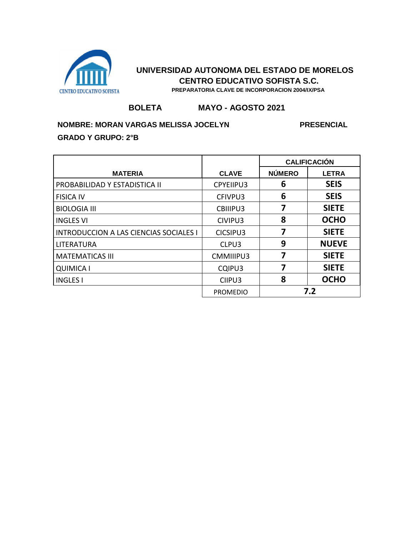

 **PREPARATORIA CLAVE DE INCORPORACION 2004/IX/PSA**

#### **BOLETA MAYO - AGOSTO 2021**

#### **NOMBRE: MORAN VARGAS MELISSA JOCELYN PRESENCIAL**

|                                               |                 | <b>CALIFICACIÓN</b> |              |
|-----------------------------------------------|-----------------|---------------------|--------------|
| <b>MATERIA</b>                                | <b>CLAVE</b>    | <b>NUMERO</b>       | <b>LETRA</b> |
| PROBABILIDAD Y ESTADISTICA II                 | CPYEIIPU3       | 6                   | <b>SEIS</b>  |
| <b>FISICA IV</b>                              | CFIVPU3         | 6                   | <b>SEIS</b>  |
| <b>BIOLOGIA III</b>                           | CBIIIPU3        | 7                   | <b>SIETE</b> |
| <b>INGLES VI</b>                              | CIVIPU3         | 8                   | <b>OCHO</b>  |
| <b>INTRODUCCION A LAS CIENCIAS SOCIALES I</b> | CICSIPU3        | 7                   | <b>SIETE</b> |
| LITERATURA                                    | CLPU3           | 9                   | <b>NUEVE</b> |
| <b>MATEMATICAS III</b>                        | CMMIIIPU3       | 7                   | <b>SIETE</b> |
| <b>QUIMICA I</b>                              | CQIPU3          | 7                   | <b>SIETE</b> |
| <b>INGLES I</b>                               | CIIPU3          | 8                   | <b>OCHO</b>  |
|                                               | <b>PROMEDIO</b> |                     | 7.2          |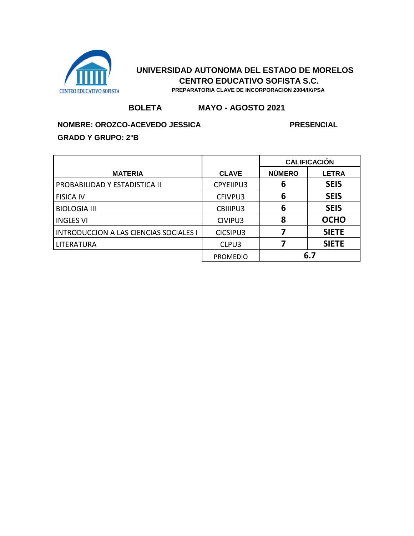

 **PREPARATORIA CLAVE DE INCORPORACION 2004/IX/PSA**

#### **BOLETA MAYO - AGOSTO 2021**

#### **NOMBRE: OROZCO-ACEVEDO JESSICA PRESENCIAL**

|                                               |                 | <b>CALIFICACIÓN</b> |              |
|-----------------------------------------------|-----------------|---------------------|--------------|
| <b>MATERIA</b>                                | <b>CLAVE</b>    | <b>NÚMERO</b>       | <b>LETRA</b> |
| PROBABILIDAD Y ESTADISTICA II                 | CPYEIIPU3       | 6                   | <b>SEIS</b>  |
| <b>FISICA IV</b>                              | CFIVPU3         | 6                   | <b>SEIS</b>  |
| <b>BIOLOGIA III</b>                           | CBIIIPU3        | 6                   | <b>SEIS</b>  |
| <b>INGLES VI</b>                              | CIVIPU3         | 8                   | <b>OCHO</b>  |
| <b>INTRODUCCION A LAS CIENCIAS SOCIALES I</b> | CICSIPU3        |                     | <b>SIETE</b> |
| LITERATURA                                    | CLPU3           |                     | <b>SIETE</b> |
|                                               | <b>PROMEDIO</b> |                     | 6.7          |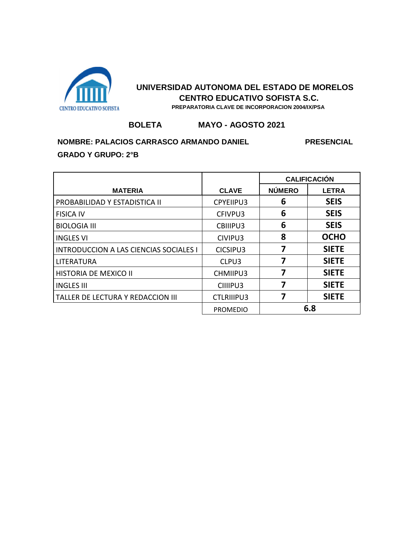

#### **BOLETA MAYO - AGOSTO 2021**

## **NOMBRE: PALACIOS CARRASCO ARMANDO DANIEL PRESENCIAL GRADO Y GRUPO: 2°B**

**MATERIA CLAVE CALIFICACIÓN NÚMERO LETRA** PROBABILIDAD Y ESTADISTICA II CPYEIIPU3 **6 SEIS** FISICA IV CFIVPU3 **6 SEIS** BIOLOGIA III CBIIIPU3 **6 SEIS** INGLES VI CIVIPU3 **8 OCHO** INTRODUCCION A LAS CIENCIAS SOCIALES I CICSIPU3 **7 SIETE** LITERATURA CLPU3 **7 SIETE** HISTORIA DE MEXICO II CHMIIPU3 **7 SIETE** INGLES III CIIIIPU3 **7 SIETE** TALLER DE LECTURA Y REDACCION III CTLRIIIPU3 **7 SIETE** PROMEDIO **6.8**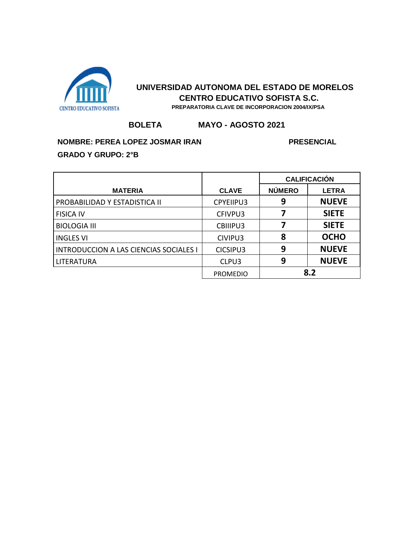

### **BOLETA MAYO - AGOSTO 2021**

# **NOMBRE: PEREA LOPEZ JOSMAR IRAN PRESENCIAL GRADO Y GRUPO: 2°B**

|                                               |                  | <b>CALIFICACIÓN</b> |              |
|-----------------------------------------------|------------------|---------------------|--------------|
| <b>MATERIA</b>                                | <b>CLAVE</b>     | <b>NÚMERO</b>       | <b>LETRA</b> |
| PROBABILIDAD Y ESTADISTICA II                 | <b>CPYEIIPU3</b> | 9                   | <b>NUEVE</b> |
| <b>FISICA IV</b>                              | CFIVPU3          | 7                   | <b>SIETE</b> |
| <b>BIOLOGIA III</b>                           | CBIIIPU3         | 7                   | <b>SIETE</b> |
| <b>INGLES VI</b>                              | CIVIPU3          | 8                   | <b>OCHO</b>  |
| <b>INTRODUCCION A LAS CIENCIAS SOCIALES I</b> | CICSIPU3         | 9                   | <b>NUEVE</b> |
| LITERATURA                                    | CLPU3            | 9                   | <b>NUEVE</b> |
|                                               | <b>PROMEDIO</b>  |                     | 8.2          |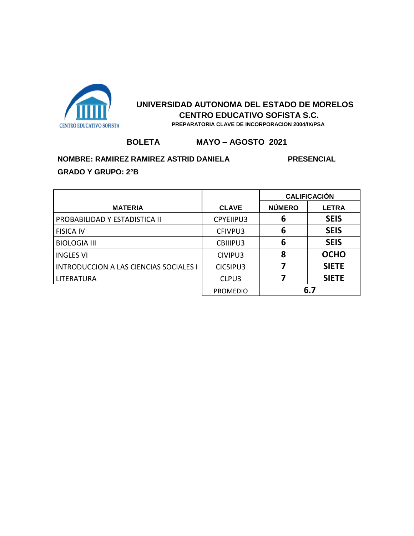

 **PREPARATORIA CLAVE DE INCORPORACION 2004/IX/PSA**

## **BOLETA MAYO – AGOSTO 2021**

**NOMBRE: RAMIREZ RAMIREZ ASTRID DANIELA PRESENCIAL** 

|                                               |                 | <b>CALIFICACIÓN</b> |              |
|-----------------------------------------------|-----------------|---------------------|--------------|
| <b>MATERIA</b>                                | <b>CLAVE</b>    | <b>NÚMERO</b>       | <b>LETRA</b> |
| PROBABILIDAD Y ESTADISTICA II                 | CPYEIIPU3       | 6                   | <b>SEIS</b>  |
| <b>FISICA IV</b>                              | CFIVPU3         | 6                   | <b>SEIS</b>  |
| <b>BIOLOGIA III</b>                           | CBIIIPU3        | 6                   | <b>SEIS</b>  |
| <b>INGLES VI</b>                              | CIVIPU3         | 8                   | <b>OCHO</b>  |
| <b>INTRODUCCION A LAS CIENCIAS SOCIALES I</b> | CICSIPU3        |                     | <b>SIETE</b> |
| LITERATURA                                    | CLPU3           |                     | <b>SIETE</b> |
|                                               | <b>PROMEDIO</b> |                     | 6.7          |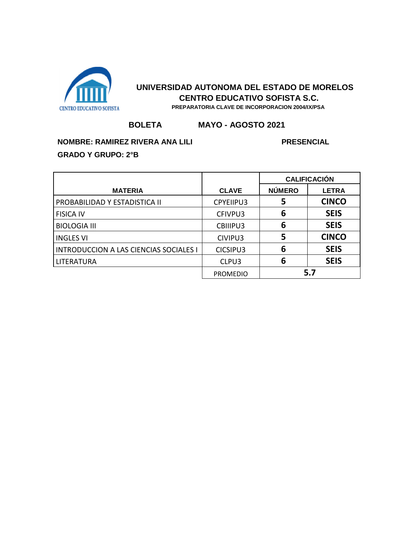

#### **BOLETA MAYO - AGOSTO 2021**

# **NOMBRE: RAMIREZ RIVERA ANA LILI PRESENCIAL PRESENCIAL**

|                                               |                 | <b>CALIFICACIÓN</b> |              |
|-----------------------------------------------|-----------------|---------------------|--------------|
| <b>MATERIA</b>                                | <b>CLAVE</b>    | <b>NÚMERO</b>       | <b>LETRA</b> |
| PROBABILIDAD Y ESTADISTICA II                 | CPYEIIPU3       | 5                   | <b>CINCO</b> |
| <b>FISICA IV</b>                              | CFIVPU3         | 6                   | <b>SEIS</b>  |
| <b>BIOLOGIA III</b>                           | CBIIIPU3        | 6                   | <b>SEIS</b>  |
| <b>INGLES VI</b>                              | CIVIPU3         | 5                   | <b>CINCO</b> |
| <b>INTRODUCCION A LAS CIENCIAS SOCIALES I</b> | CICSIPU3        | 6                   | <b>SEIS</b>  |
| LITERATURA                                    | CLPU3           | 6                   | <b>SEIS</b>  |
|                                               | <b>PROMEDIO</b> |                     | 5.7          |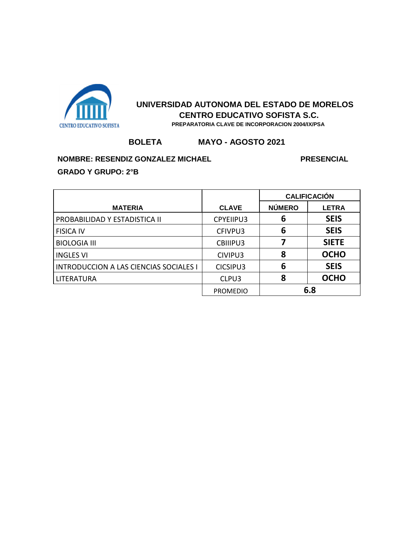

## **BOLETA MAYO - AGOSTO 2021**

**NOMBRE: RESENDIZ GONZALEZ MICHAEL PRESENCIAL PRESENCIAL** 

|                                               |                 | <b>CALIFICACIÓN</b> |              |
|-----------------------------------------------|-----------------|---------------------|--------------|
| <b>MATERIA</b>                                | <b>CLAVE</b>    | <b>NÚMERO</b>       | <b>LETRA</b> |
| PROBABILIDAD Y ESTADISTICA II                 | CPYEIIPU3       | 6                   | <b>SEIS</b>  |
| <b>FISICA IV</b>                              | CFIVPU3         | 6                   | <b>SEIS</b>  |
| <b>BIOLOGIA III</b>                           | CBIIIPU3        |                     | <b>SIETE</b> |
| <b>INGLES VI</b>                              | CIVIPU3         | 8                   | <b>OCHO</b>  |
| <b>INTRODUCCION A LAS CIENCIAS SOCIALES I</b> | CICSIPU3        | 6                   | <b>SEIS</b>  |
| LITERATURA                                    | CLPU3           | 8                   | <b>OCHO</b>  |
|                                               | <b>PROMEDIO</b> | 6.8                 |              |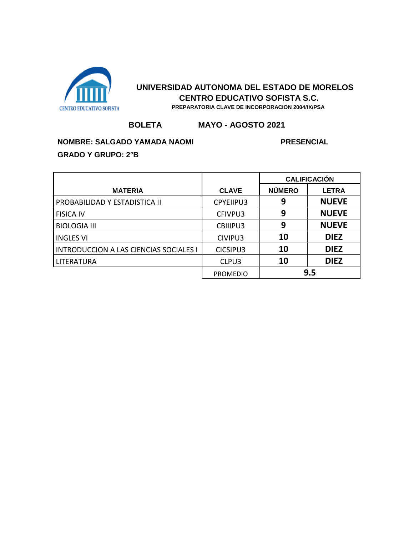

#### **BOLETA MAYO - AGOSTO 2021**

# **NOMBRE: SALGADO YAMADA NAOMI PRESENCIAL**

|                                               |                 | <b>CALIFICACIÓN</b> |              |
|-----------------------------------------------|-----------------|---------------------|--------------|
| <b>MATERIA</b>                                | <b>CLAVE</b>    | <b>NÚMERO</b>       | <b>LETRA</b> |
| PROBABILIDAD Y ESTADISTICA II                 | CPYEIIPU3       | 9                   | <b>NUEVE</b> |
| <b>FISICA IV</b>                              | CFIVPU3         | 9                   | <b>NUEVE</b> |
| <b>BIOLOGIA III</b>                           | CBIIIPU3        | 9                   | <b>NUEVE</b> |
| <b>INGLES VI</b>                              | CIVIPU3         | 10                  | <b>DIEZ</b>  |
| <b>INTRODUCCION A LAS CIENCIAS SOCIALES I</b> | CICSIPU3        | 10                  | <b>DIEZ</b>  |
| LITERATURA                                    | CLPU3           | 10                  | <b>DIEZ</b>  |
|                                               | <b>PROMEDIO</b> | 9.5                 |              |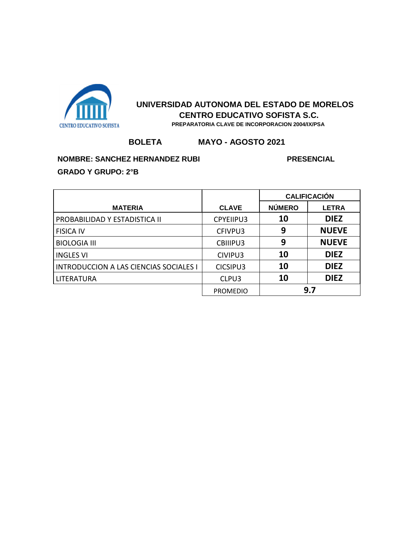

## **BOLETA MAYO - AGOSTO 2021**

#### **NOMBRE: SANCHEZ HERNANDEZ RUBI PRESENCIAL**

|                                               |                 | <b>CALIFICACIÓN</b> |              |
|-----------------------------------------------|-----------------|---------------------|--------------|
| <b>MATERIA</b>                                | <b>CLAVE</b>    | <b>NÚMERO</b>       | <b>LETRA</b> |
| PROBABILIDAD Y ESTADISTICA II                 | CPYEIIPU3       | 10                  | <b>DIEZ</b>  |
| <b>FISICA IV</b>                              | CFIVPU3         | 9                   | <b>NUEVE</b> |
| <b>BIOLOGIA III</b>                           | CBIIIPU3        | 9                   | <b>NUEVE</b> |
| <b>INGLES VI</b>                              | CIVIPU3         | 10                  | <b>DIEZ</b>  |
| <b>INTRODUCCION A LAS CIENCIAS SOCIALES I</b> | CICSIPU3        | 10                  | <b>DIEZ</b>  |
| LITERATURA                                    | CLPU3           | 10                  | <b>DIEZ</b>  |
|                                               | <b>PROMEDIO</b> |                     | 9.7          |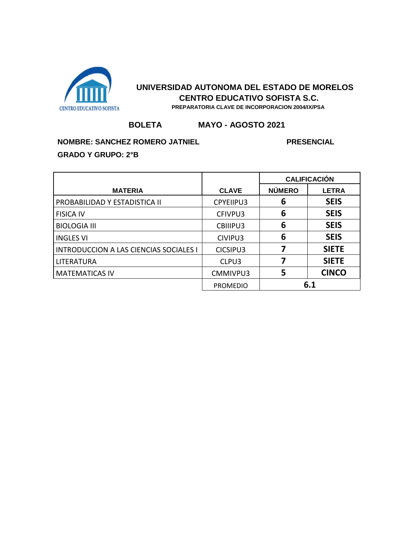

### **BOLETA MAYO - AGOSTO 2021**

# **NOMBRE: SANCHEZ ROMERO JATNIEL PRESENCIAL**

|                                        |                  | <b>CALIFICACIÓN</b> |              |
|----------------------------------------|------------------|---------------------|--------------|
| <b>MATERIA</b>                         | <b>CLAVE</b>     | <b>NÚMERO</b>       | <b>LETRA</b> |
| PROBABILIDAD Y ESTADISTICA II          | <b>CPYEIIPU3</b> | 6                   | <b>SEIS</b>  |
| <b>FISICA IV</b>                       | CFIVPU3          | 6                   | <b>SEIS</b>  |
| <b>BIOLOGIA III</b>                    | CBIIIPU3         | 6                   | <b>SEIS</b>  |
| <b>INGLES VI</b>                       | CIVIPU3          | 6                   | <b>SEIS</b>  |
| INTRODUCCION A LAS CIENCIAS SOCIALES I | CICSIPU3         | 7                   | <b>SIETE</b> |
| LITERATURA                             | CLPU3            |                     | <b>SIETE</b> |
| <b>MATEMATICAS IV</b>                  | CMMIVPU3         | 5                   | <b>CINCO</b> |
|                                        | <b>PROMEDIO</b>  |                     | 6.1          |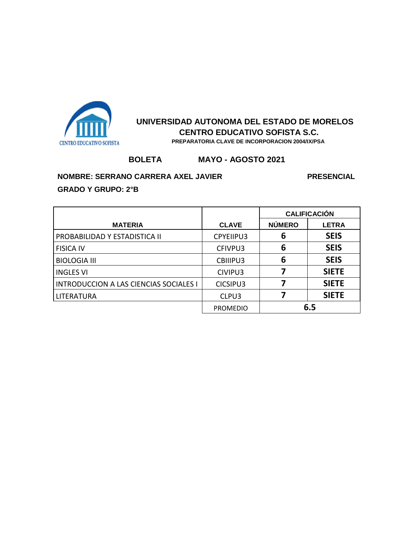

#### **BOLETA MAYO - AGOSTO 2021**

#### **NOMBRE: SERRANO CARRERA AXEL JAVIER PRESENCIAL PRESENCIAL**

|                                               |                 | <b>CALIFICACIÓN</b> |              |
|-----------------------------------------------|-----------------|---------------------|--------------|
| <b>MATERIA</b>                                | <b>CLAVE</b>    | <b>NÚMERO</b>       | <b>LETRA</b> |
| PROBABILIDAD Y ESTADISTICA II                 | CPYEIIPU3       | 6                   | <b>SEIS</b>  |
| <b>FISICA IV</b>                              | CFIVPU3         | 6                   | <b>SEIS</b>  |
| <b>BIOLOGIA III</b>                           | CBIIIPU3        | 6                   | <b>SEIS</b>  |
| <b>INGLES VI</b>                              | CIVIPU3         | 7                   | <b>SIETE</b> |
| <b>INTRODUCCION A LAS CIENCIAS SOCIALES I</b> | CICSIPU3        |                     | <b>SIETE</b> |
| <b>LITERATURA</b>                             | CLPU3           |                     | <b>SIETE</b> |
|                                               | <b>PROMEDIO</b> | 6.5                 |              |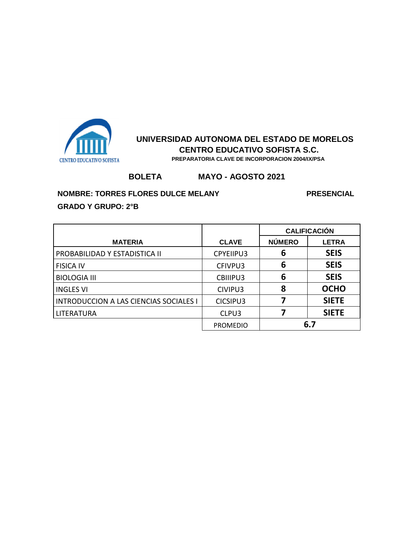

 **PREPARATORIA CLAVE DE INCORPORACION 2004/IX/PSA**

# **BOLETA MAYO - AGOSTO 2021**

#### **NOMBRE: TORRES FLORES DULCE MELANY PRESENCIAL**

|                                               |                 | <b>CALIFICACIÓN</b> |              |
|-----------------------------------------------|-----------------|---------------------|--------------|
| <b>MATERIA</b>                                | <b>CLAVE</b>    | <b>NÚMERO</b>       | <b>LETRA</b> |
| PROBABILIDAD Y ESTADISTICA II                 | CPYEIIPU3       | 6                   | <b>SEIS</b>  |
| <b>FISICA IV</b>                              | CFIVPU3         | 6                   | <b>SEIS</b>  |
| <b>BIOLOGIA III</b>                           | CBIIIPU3        | 6                   | <b>SEIS</b>  |
| <b>INGLES VI</b>                              | CIVIPU3         | 8                   | <b>OCHO</b>  |
| <b>INTRODUCCION A LAS CIENCIAS SOCIALES I</b> | CICSIPU3        |                     | <b>SIETE</b> |
| LITERATURA                                    | CLPU3           |                     | <b>SIETE</b> |
|                                               | <b>PROMEDIO</b> |                     | 6.7          |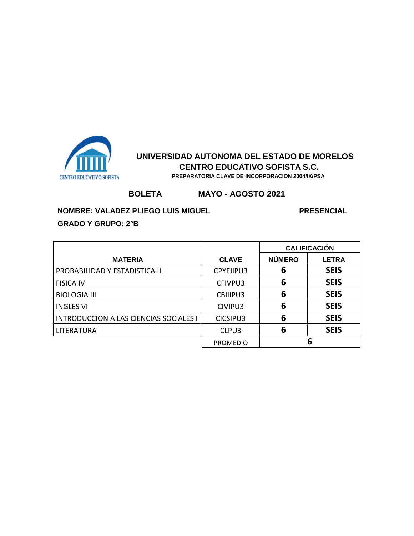

### **BOLETA MAYO - AGOSTO 2021**

**NOMBRE: VALADEZ PLIEGO LUIS MIGUEL PRESENCIAL PRESENCIAL** 

| <b>GRADO Y GRUPO: 2°B</b> |  |  |  |
|---------------------------|--|--|--|
|---------------------------|--|--|--|

|                                               |                 | <b>CALIFICACIÓN</b> |              |
|-----------------------------------------------|-----------------|---------------------|--------------|
| <b>MATERIA</b>                                | <b>CLAVE</b>    | <b>NÚMERO</b>       | <b>LETRA</b> |
| PROBABILIDAD Y ESTADISTICA II                 | CPYEIIPU3       | 6                   | <b>SEIS</b>  |
| <b>FISICA IV</b>                              | CFIVPU3         | 6                   | <b>SEIS</b>  |
| <b>BIOLOGIA III</b>                           | CBIIIPU3        | 6                   | <b>SEIS</b>  |
| <b>INGLES VI</b>                              | CIVIPU3         | 6                   | <b>SEIS</b>  |
| <b>INTRODUCCION A LAS CIENCIAS SOCIALES I</b> | CICSIPU3        | 6                   | <b>SEIS</b>  |
| LITERATURA                                    | CLPU3           | 6                   | <b>SEIS</b>  |
|                                               | <b>PROMEDIO</b> |                     | 6            |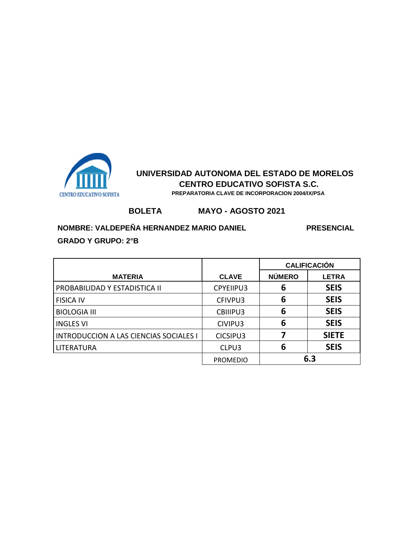

**BOLETA MAYO - AGOSTO 2021**

### **NOMBRE: VALDEPEÑA HERNANDEZ MARIO DANIEL PRESENCIAL**

|                                               |                 | <b>CALIFICACIÓN</b> |              |
|-----------------------------------------------|-----------------|---------------------|--------------|
| <b>MATERIA</b>                                | <b>CLAVE</b>    | <b>NÚMERO</b>       | <b>LETRA</b> |
| PROBABILIDAD Y ESTADISTICA II                 | CPYEIIPU3       | 6                   | <b>SEIS</b>  |
| <b>FISICA IV</b>                              | CFIVPU3         | 6                   | <b>SEIS</b>  |
| <b>BIOLOGIA III</b>                           | CBIIIPU3        | 6                   | <b>SEIS</b>  |
| <b>INGLES VI</b>                              | CIVIPU3         | 6                   | <b>SEIS</b>  |
| <b>INTRODUCCION A LAS CIENCIAS SOCIALES I</b> | CICSIPU3        |                     | <b>SIETE</b> |
| LITERATURA                                    | CLPU3           | 6                   | <b>SEIS</b>  |
|                                               | <b>PROMEDIO</b> |                     | 6.3          |